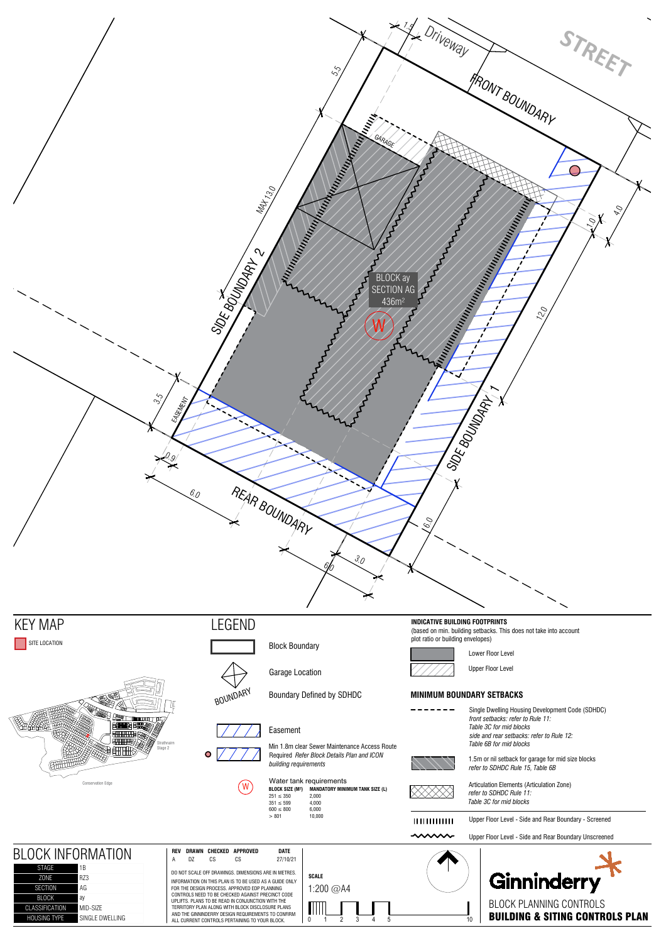